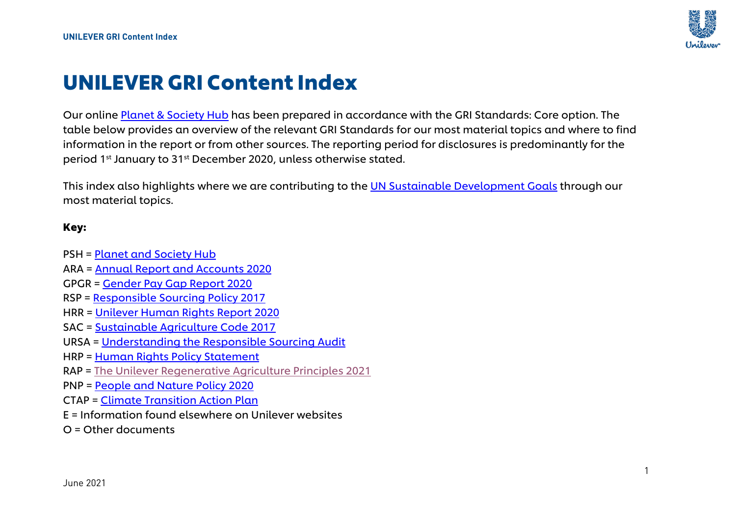

# UNILEVER GRI Content Index

Our online [Planet & Society Hub](https://www.unilever.com/planet-and-society/) has been prepared in accordance with the GRI Standards: Core option. The table below provides an overview of the relevant GRI Standards for our most material topics and where to find information in the report or from other sources. The reporting period for disclosures is predominantly for the period 1st January to 31st December 2020, unless otherwise stated.

This index also highlights where we are contributing to the [UN Sustainable Development Goals](https://www.unilever.com/planet-and-society/sustainability-reporting-centre/sustainable-development-goals/) through our most material topics.

### Key:

- PSH = Planet and [Society Hub](https://www.unilever.com/planet-and-society/)
- ARA = [Annual Report and Accounts 2020](https://www.unilever.com/Images/annual-report-and-accounts-2020_tcm244-559824_en.pdf)
- GPGR = [Gender Pay Gap Report 2020](https://assets.unilever.com/files/92ui5egz/production/82bf256c66f0b5d895779abd3fb5b0b234f4f634.pdf/unilever-uk-gender-pay-gap-report-2020.pdf)
- RSP = [Responsible Sourcing Policy 2017](https://www.unilever.com/Images/responsible-sourcing-policy-interactive-final_tcm244-504736_en.pdf)
- HRR = [Unilever Human Rights Report 2020](https://assets.unilever.com/files/92ui5egz/production/0ead3d5a36007724459bb1acbf437a190cfc2e42.pdf/unilever-human-rights-report-2020.pdf)
- SAC = [Sustainable Agriculture Code 2017](https://assets.unilever.com/files/92ui5egz/production/555201fc976d5389fbdf9845099c15b61d1ceb53.pdf/sustainable-agriculture-code--sac---2017.pdf)
- URSA = [Understanding the Responsible Sourcing Audit](https://www.unilever.com/Images/current-unilever-audit-requirements_tcm244-520095_en.pdf)
- HRP = [Human Rights Policy Statement](https://assets.unilever.com/files/92ui5egz/production/6298a11c3f341dc135ce6d55561be85191b66d6d.pdf/unilever-human-rights-policy-statement.pdf)
- RAP = [The Unilever Regenerative Agriculture Principles 2021](https://assets.unilever.com/files/92ui5egz/production/489410442380812907bc3d97be02ccda1a44ab4b.pdf/Regenerative-Agriculture-Principles-and-Implementation-Guide-April-2021.pdf)
- PNP = People and [Nature Policy 2020](https://www.unilever.com/Images/unilever-people-and-nature-policy_tcm244-557556_en.pdf)
- CTAP = [Climate Transition Action Plan](https://www.unilever.com/Images/unilever-climate-transition-action-plan-19032021_tcm244-560179_en.pdf)
- E = Information found elsewhere on Unilever websites
- O = Other documents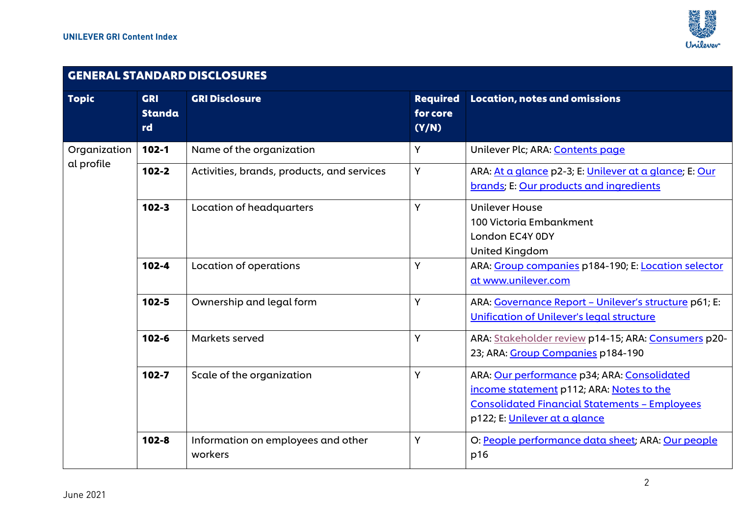

## GENERAL STANDARD DISCLOSURES

| <b>Topic</b> | <b>GRI</b><br><b>Standa</b><br>rd | <b>GRI Disclosure</b>                         | <b>Required</b><br>for core<br>(Y/N) | <b>Location, notes and omissions</b>                                                                                                                                             |
|--------------|-----------------------------------|-----------------------------------------------|--------------------------------------|----------------------------------------------------------------------------------------------------------------------------------------------------------------------------------|
| Organization | $102 - 1$                         | Name of the organization                      | Y                                    | Unilever Plc; ARA: Contents page                                                                                                                                                 |
| al profile   | $102 - 2$                         | Activities, brands, products, and services    | Y                                    | ARA: At a glance p2-3; E: Unilever at a glance; E: Our<br>brands; E: Our products and ingredients                                                                                |
|              | $102 - 3$                         | Location of headquarters                      | Y                                    | <b>Unilever House</b><br>100 Victoria Embankment<br>London EC4Y 0DY<br>United Kingdom                                                                                            |
|              | $102 - 4$                         | Location of operations                        | Y                                    | ARA: Group companies p184-190; E: Location selector<br>at www.unilever.com                                                                                                       |
|              | $102 - 5$                         | Ownership and legal form                      | Υ                                    | ARA: Governance Report - Unilever's structure p61; E:<br><b>Unification of Unilever's legal structure</b>                                                                        |
|              | $102 - 6$                         | Markets served                                | Y                                    | ARA: Stakeholder review p14-15; ARA: Consumers p20-<br>23; ARA: Group Companies p184-190                                                                                         |
|              | $102 - 7$                         | Scale of the organization                     | Y                                    | ARA: Our performance p34; ARA: Consolidated<br>income statement p112; ARA: Notes to the<br><b>Consolidated Financial Statements - Employees</b><br>p122; E: Unilever at a glance |
|              | $102 - 8$                         | Information on employees and other<br>workers | Y                                    | O: People performance data sheet; ARA: Our people<br>p16                                                                                                                         |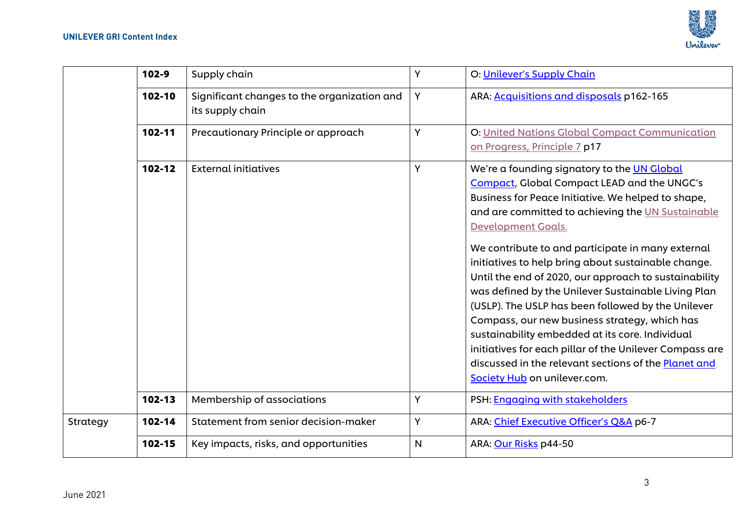

|          | $102 - 9$ | Supply chain                                                    | Y                                                                   | O: Unilever's Supply Chain                                                                                                                                                                                                                                                                                                                                                                                                                                                                                                                                                                                                                                                                                                                     |
|----------|-----------|-----------------------------------------------------------------|---------------------------------------------------------------------|------------------------------------------------------------------------------------------------------------------------------------------------------------------------------------------------------------------------------------------------------------------------------------------------------------------------------------------------------------------------------------------------------------------------------------------------------------------------------------------------------------------------------------------------------------------------------------------------------------------------------------------------------------------------------------------------------------------------------------------------|
|          | 102-10    | Significant changes to the organization and<br>its supply chain | Y                                                                   | ARA: Acquisitions and disposals p162-165                                                                                                                                                                                                                                                                                                                                                                                                                                                                                                                                                                                                                                                                                                       |
|          | 102-11    | Precautionary Principle or approach                             | Y<br>on Progress, Principle 7 p17<br>Y<br><b>Development Goals.</b> | <b>O: United Nations Global Compact Communication</b>                                                                                                                                                                                                                                                                                                                                                                                                                                                                                                                                                                                                                                                                                          |
|          | 102-12    | <b>External initiatives</b>                                     |                                                                     | We're a founding signatory to the UN Global<br>Compact, Global Compact LEAD and the UNGC's<br>Business for Peace Initiative. We helped to shape,<br>and are committed to achieving the UN Sustainable<br>We contribute to and participate in many external<br>initiatives to help bring about sustainable change.<br>Until the end of 2020, our approach to sustainability<br>was defined by the Unilever Sustainable Living Plan<br>(USLP). The USLP has been followed by the Unilever<br>Compass, our new business strategy, which has<br>sustainability embedded at its core. Individual<br>initiatives for each pillar of the Unilever Compass are<br>discussed in the relevant sections of the Planet and<br>Society Hub on unilever.com. |
|          | 102-13    | Membership of associations                                      | Y                                                                   | PSH: Engaging with stakeholders                                                                                                                                                                                                                                                                                                                                                                                                                                                                                                                                                                                                                                                                                                                |
| Strategy | 102-14    | Statement from senior decision-maker                            | Y                                                                   | ARA: Chief Executive Officer's Q&A p6-7                                                                                                                                                                                                                                                                                                                                                                                                                                                                                                                                                                                                                                                                                                        |
|          | 102-15    | Key impacts, risks, and opportunities                           | $\mathsf{N}$                                                        | ARA: Our Risks p44-50                                                                                                                                                                                                                                                                                                                                                                                                                                                                                                                                                                                                                                                                                                                          |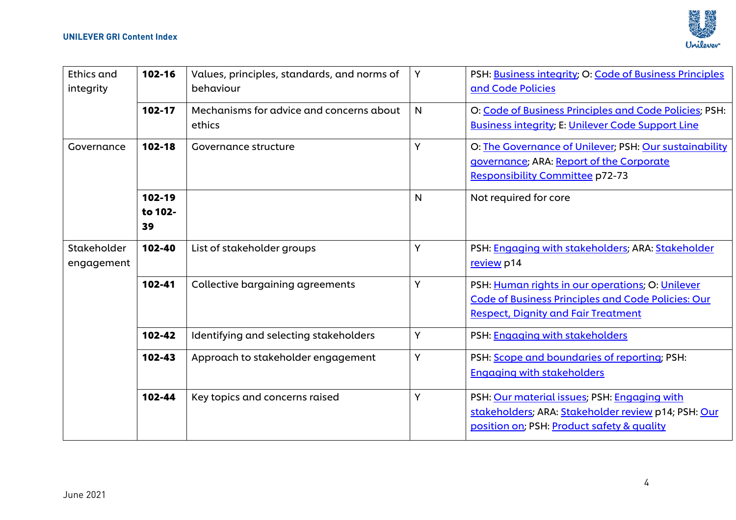

| <b>Ethics and</b><br>integrity | 102-16                  | Values, principles, standards, and norms of<br>behaviour | Y            | PSH: Business integrity; O: Code of Business Principles<br>and Code Policies                                                                                |
|--------------------------------|-------------------------|----------------------------------------------------------|--------------|-------------------------------------------------------------------------------------------------------------------------------------------------------------|
|                                | 102-17                  | Mechanisms for advice and concerns about<br>ethics       | $\mathsf{N}$ | O: Code of Business Principles and Code Policies; PSH:<br><b>Business integrity; E: Unilever Code Support Line</b>                                          |
| Governance                     | $102 - 18$              | Governance structure                                     | Y            | O: The Governance of Unilever; PSH: Our sustainability<br>governance; ARA: Report of the Corporate<br><b>Responsibility Committee p72-73</b>                |
|                                | 102-19<br>to 102-<br>39 |                                                          | $\mathsf{N}$ | Not required for core                                                                                                                                       |
| Stakeholder<br>engagement      | 102-40                  | List of stakeholder groups                               | Υ            | PSH: Engaging with stakeholders; ARA: Stakeholder<br>review p14                                                                                             |
|                                | 102-41                  | <b>Collective bargaining agreements</b>                  | Υ            | PSH: Human rights in our operations; O: Unilever<br><b>Code of Business Principles and Code Policies: Our</b><br><b>Respect, Dignity and Fair Treatment</b> |
|                                | 102-42                  | Identifying and selecting stakeholders                   | Υ            | PSH: Engaging with stakeholders                                                                                                                             |
|                                | 102-43                  | Approach to stakeholder engagement                       | Y            | PSH: Scope and boundaries of reporting; PSH:<br><b>Engaging with stakeholders</b>                                                                           |
|                                | 102-44                  | Key topics and concerns raised                           | Y            | PSH: Our material issues; PSH: Engaging with<br>stakeholders; ARA: Stakeholder review p14; PSH: Our<br>position on; PSH: Product safety & quality           |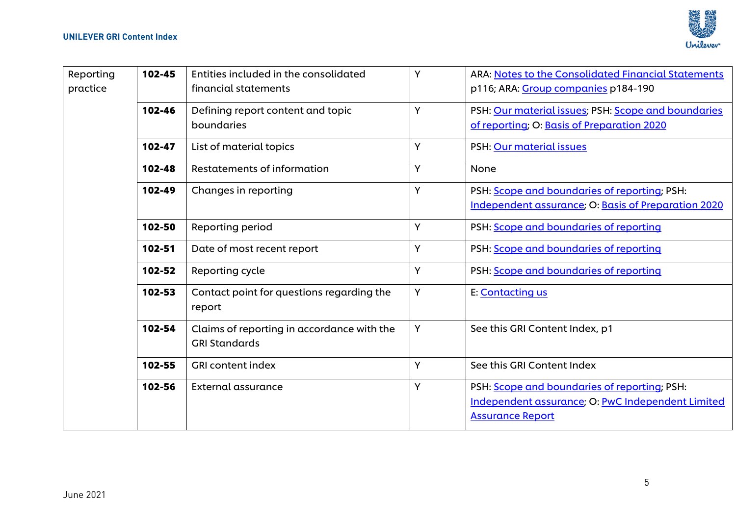

| Reporting<br>practice | 102-45 | Entities included in the consolidated<br>financial statements      | Y | ARA: Notes to the Consolidated Financial Statements<br>p116; ARA: Group companies p184-190                                   |
|-----------------------|--------|--------------------------------------------------------------------|---|------------------------------------------------------------------------------------------------------------------------------|
|                       | 102-46 | Defining report content and topic<br>boundaries                    | Ý | PSH: Our material issues; PSH: Scope and boundaries<br>of reporting; O: Basis of Preparation 2020                            |
|                       | 102-47 | List of material topics                                            | Y | PSH: Our material issues                                                                                                     |
|                       | 102-48 | <b>Restatements of information</b>                                 | Y | None                                                                                                                         |
|                       | 102-49 | Changes in reporting                                               | Y | PSH: Scope and boundaries of reporting; PSH:<br>Independent assurance; O: Basis of Preparation 2020                          |
|                       | 102-50 | Reporting period                                                   | Y | PSH: Scope and boundaries of reporting                                                                                       |
|                       | 102-51 | Date of most recent report                                         | Y | PSH: Scope and boundaries of reporting                                                                                       |
|                       | 102-52 | Reporting cycle                                                    | Y | PSH: Scope and boundaries of reporting                                                                                       |
|                       | 102-53 | Contact point for questions regarding the<br>report                | Y | E: Contacting us                                                                                                             |
|                       | 102-54 | Claims of reporting in accordance with the<br><b>GRI Standards</b> | Y | See this GRI Content Index, p1                                                                                               |
|                       | 102-55 | <b>GRI content index</b>                                           | Y | See this GRI Content Index                                                                                                   |
|                       | 102-56 | External assurance                                                 | Y | PSH: Scope and boundaries of reporting; PSH:<br>Independent assurance; O: PwC Independent Limited<br><b>Assurance Report</b> |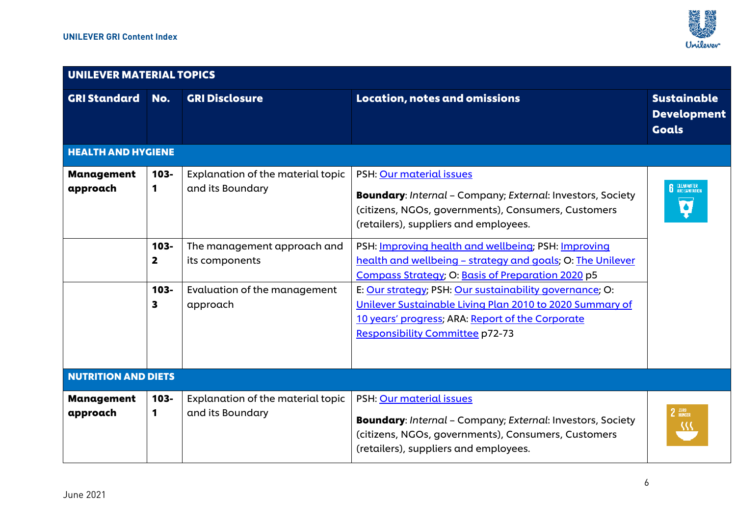

| UNILEVER MATERIAL TOPICS      |                                    |                                                       |                                                                                                                                                                                                                   |                                                              |  |  |  |
|-------------------------------|------------------------------------|-------------------------------------------------------|-------------------------------------------------------------------------------------------------------------------------------------------------------------------------------------------------------------------|--------------------------------------------------------------|--|--|--|
| <b>GRI Standard</b>           | No.                                | <b>GRI Disclosure</b>                                 | <b>Location, notes and omissions</b>                                                                                                                                                                              | <b>Sustainable</b><br><b>Development</b><br><b>Goals</b>     |  |  |  |
| <b>HEALTH AND HYGIENE</b>     |                                    |                                                       |                                                                                                                                                                                                                   |                                                              |  |  |  |
| <b>Management</b><br>approach | $103 -$<br>1                       | Explanation of the material topic<br>and its Boundary | PSH: Our material issues<br>Boundary: Internal - Company; External: Investors, Society<br>(citizens, NGOs, governments), Consumers, Customers<br>(retailers), suppliers and employees.                            | <b>CLEAN WATER</b><br>AND SANITATION<br>$\overline{\bullet}$ |  |  |  |
|                               | $103 -$<br>$\overline{\mathbf{2}}$ | The management approach and<br>its components         | PSH: Improving health and wellbeing; PSH: Improving<br>health and wellbeing - strategy and goals; O: The Unilever<br>Compass Strategy; O: Basis of Preparation 2020 p5                                            |                                                              |  |  |  |
|                               | $103 -$<br>3                       | Evaluation of the management<br>approach              | E: Our strategy; PSH: Our sustainability governance; O:<br>Unilever Sustainable Living Plan 2010 to 2020 Summary of<br>10 years' progress; ARA: Report of the Corporate<br><b>Responsibility Committee p72-73</b> |                                                              |  |  |  |
| <b>NUTRITION AND DIETS</b>    |                                    |                                                       |                                                                                                                                                                                                                   |                                                              |  |  |  |
| <b>Management</b><br>approach | $103 -$<br>1                       | Explanation of the material topic<br>and its Boundary | PSH: Our material issues<br><b>Boundary:</b> Internal - Company; External: Investors, Society<br>(citizens, NGOs, governments), Consumers, Customers<br>(retailers), suppliers and employees.                     | $2$ $400$ $400$ $400$ $400$ $400$<br>38                      |  |  |  |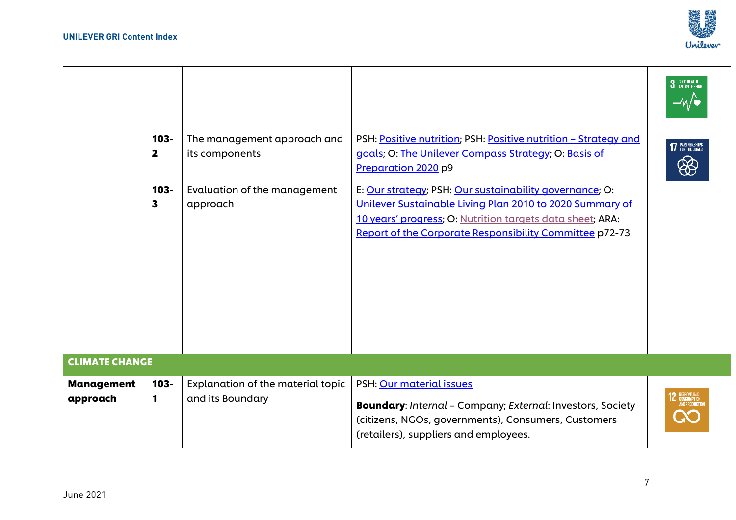

|                               | $103 -$<br>$\overline{\mathbf{2}}$ | The management approach and<br>its components         | PSH: Positive nutrition; PSH: Positive nutrition - Strategy and<br>goals; O: The Unilever Compass Strategy; O: Basis of<br>Preparation 2020 p9                                                                                              | 3 GOOD HEALTH<br>–⁄∧⁄ ¶<br>17 PARTNERSHIPS<br>8 |
|-------------------------------|------------------------------------|-------------------------------------------------------|---------------------------------------------------------------------------------------------------------------------------------------------------------------------------------------------------------------------------------------------|-------------------------------------------------|
|                               | $103 -$<br>3                       | Evaluation of the management<br>approach              | E: Our strategy; PSH: Our sustainability governance; O:<br>Unilever Sustainable Living Plan 2010 to 2020 Summary of<br>10 years' progress; O: Nutrition targets data sheet; ARA:<br>Report of the Corporate Responsibility Committee p72-73 |                                                 |
| <b>CLIMATE CHANGE</b>         |                                    |                                                       |                                                                                                                                                                                                                                             |                                                 |
| <b>Management</b><br>approach | $103 -$<br>1                       | Explanation of the material topic<br>and its Boundary | PSH: Our material issues<br><b>Boundary:</b> Internal - Company; External: Investors, Society<br>(citizens, NGOs, governments), Consumers, Customers<br>(retailers), suppliers and employees.                                               | <b>12</b> RESPONSIBLE<br>AND PRODUCTIE          |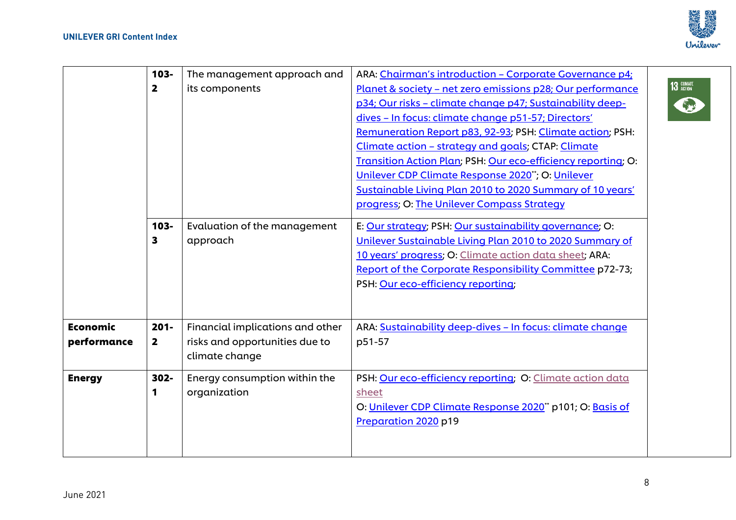

|                 | $103 -$                 | The management approach and      | ARA: Chairman's introduction - Corporate Governance p4;       |
|-----------------|-------------------------|----------------------------------|---------------------------------------------------------------|
|                 | $\overline{\mathbf{2}}$ | its components                   | Planet & society - net zero emissions p28; Our performance    |
|                 |                         |                                  | p34; Our risks - climate change p47; Sustainability deep-     |
|                 |                         |                                  | dives - In focus: climate change p51-57; Directors'           |
|                 |                         |                                  | Remuneration Report p83, 92-93; PSH: Climate action; PSH:     |
|                 |                         |                                  | Climate action - strategy and goals; CTAP: Climate            |
|                 |                         |                                  | Transition Action Plan; PSH: Our eco-efficiency reporting; O: |
|                 |                         |                                  | Unilever CDP Climate Response 2020*; O: Unilever              |
|                 |                         |                                  | Sustainable Living Plan 2010 to 2020 Summary of 10 years'     |
|                 |                         |                                  | progress; O: The Unilever Compass Strategy                    |
|                 | $103 -$                 | Evaluation of the management     | E: Our strategy; PSH: Our sustainability governance; O:       |
|                 | 3                       | approach                         | Unilever Sustainable Living Plan 2010 to 2020 Summary of      |
|                 |                         |                                  | 10 years' progress; O: Climate action data sheet; ARA:        |
|                 |                         |                                  | Report of the Corporate Responsibility Committee p72-73;      |
|                 |                         |                                  | PSH: Our eco-efficiency reporting;                            |
|                 |                         |                                  |                                                               |
|                 |                         |                                  |                                                               |
| <b>Economic</b> | $201 -$                 | Financial implications and other | ARA: Sustainability deep-dives - In focus: climate change     |
| performance     | 2                       | risks and opportunities due to   | p51-57                                                        |
|                 |                         | climate change                   |                                                               |
| <b>Energy</b>   | $302 -$                 | Energy consumption within the    | PSH: Our eco-efficiency reporting; O: Climate action data     |
|                 | 1                       | organization                     | sheet                                                         |
|                 |                         |                                  | O: Unilever CDP Climate Response 2020" p101; O: Basis of      |
|                 |                         |                                  | Preparation 2020 p19                                          |
|                 |                         |                                  |                                                               |
|                 |                         |                                  |                                                               |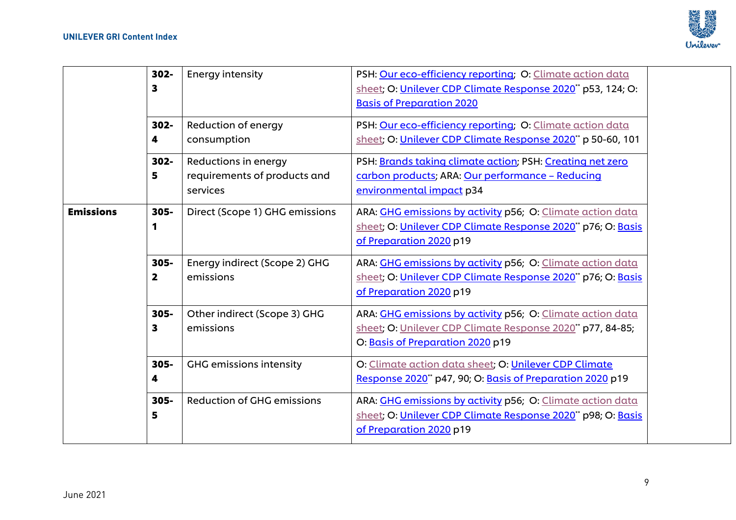

|                  | 302-<br>$\mathbf{3}$            | <b>Energy intensity</b>                                          | PSH: Our eco-efficiency reporting; O: Climate action data<br>sheet; O: Unilever CDP Climate Response 2020** p53, 124; O:<br><b>Basis of Preparation 2020</b> |  |
|------------------|---------------------------------|------------------------------------------------------------------|--------------------------------------------------------------------------------------------------------------------------------------------------------------|--|
|                  | 302-<br>4                       | Reduction of energy<br>consumption                               | PSH: Our eco-efficiency reporting; O: Climate action data<br>sheet; O: Unilever CDP Climate Response 2020" p 50-60, 101                                      |  |
|                  | $302 -$<br>5                    | Reductions in energy<br>requirements of products and<br>services | PSH: Brands taking climate action; PSH: Creating net zero<br>carbon products; ARA: Our performance - Reducing<br>environmental impact p34                    |  |
| <b>Emissions</b> | $305 -$<br>1                    | Direct (Scope 1) GHG emissions                                   | ARA: GHG emissions by activity p56; O: Climate action data<br>sheet; O: Unilever CDP Climate Response 2020" p76; O: Basis<br>of Preparation 2020 p19         |  |
|                  | 305-<br>$\overline{\mathbf{2}}$ | Energy indirect (Scope 2) GHG<br>emissions                       | ARA: GHG emissions by activity p56; O: Climate action data<br>sheet; O: Unilever CDP Climate Response 2020" p76; O: Basis<br>of Preparation 2020 p19         |  |
|                  | 305-<br>3                       | Other indirect (Scope 3) GHG<br>emissions                        | ARA: GHG emissions by activity p56; O: Climate action data<br>sheet; O: Unilever CDP Climate Response 2020* p77, 84-85;<br>O: Basis of Preparation 2020 p19  |  |
|                  | 305-<br>4                       | <b>GHG emissions intensity</b>                                   | O: Climate action data sheet; O: Unilever CDP Climate<br>Response 2020 <sup>*</sup> p47, 90; O: Basis of Preparation 2020 p19                                |  |
|                  | $305 -$<br>5                    | <b>Reduction of GHG emissions</b>                                | ARA: GHG emissions by activity p56; O: Climate action data<br>sheet; O: Unilever CDP Climate Response 2020* p98; O: Basis<br>of Preparation 2020 p19         |  |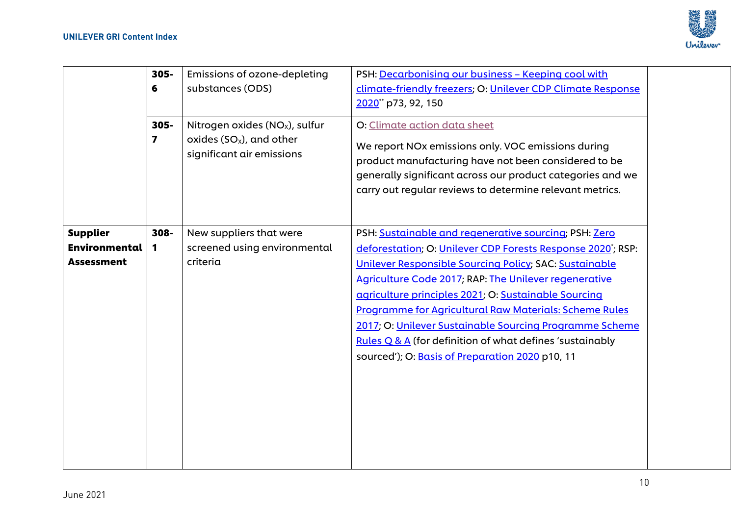

|                                                       | $305 -$<br>6<br>$305 -$<br>$\overline{\mathbf{z}}$ | Emissions of ozone-depleting<br>substances (ODS)<br>Nitrogen oxides ( $NOx$ ), sulfur<br>oxides $(SO_x)$ , and other<br>significant air emissions | PSH: Decarbonising our business - Keeping cool with<br>climate-friendly freezers; O: Unilever CDP Climate Response<br>2020" p73, 92, 150<br>O: Climate action data sheet<br>We report NO <sub>x</sub> emissions only. VOC emissions during<br>product manufacturing have not been considered to be<br>generally significant across our product categories and we<br>carry out regular reviews to determine relevant metrics.                                                                                                              |  |
|-------------------------------------------------------|----------------------------------------------------|---------------------------------------------------------------------------------------------------------------------------------------------------|-------------------------------------------------------------------------------------------------------------------------------------------------------------------------------------------------------------------------------------------------------------------------------------------------------------------------------------------------------------------------------------------------------------------------------------------------------------------------------------------------------------------------------------------|--|
| <b>Supplier</b><br>Environmental<br><b>Assessment</b> | 308-<br>$\mathbf 1$                                | New suppliers that were<br>screened using environmental<br>criteria                                                                               | PSH: Sustainable and regenerative sourcing; PSH: Zero<br>deforestation; O: Unilever CDP Forests Response 2020; RSP:<br>Unilever Responsible Sourcing Policy; SAC: Sustainable<br>Agriculture Code 2017; RAP: The Unilever regenerative<br>agriculture principles 2021; O: Sustainable Sourcing<br><b>Programme for Agricultural Raw Materials: Scheme Rules</b><br>2017; O: Unilever Sustainable Sourcing Programme Scheme<br>Rules Q & A (for definition of what defines 'sustainably<br>sourced'); O: Basis of Preparation 2020 p10, 11 |  |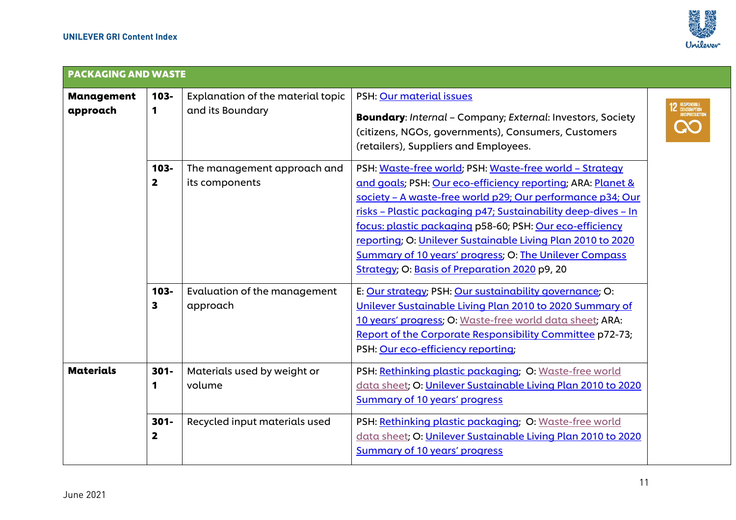

| <b>PACKAGING AND WASTE</b>    |                                    |                                                       |                                                                                                                                                                                                                                                                                                                                                                                                                                                                                                    |                                              |  |
|-------------------------------|------------------------------------|-------------------------------------------------------|----------------------------------------------------------------------------------------------------------------------------------------------------------------------------------------------------------------------------------------------------------------------------------------------------------------------------------------------------------------------------------------------------------------------------------------------------------------------------------------------------|----------------------------------------------|--|
| <b>Management</b><br>approach | $103 -$<br>1                       | Explanation of the material topic<br>and its Boundary | PSH: Our material issues<br><b>Boundary:</b> Internal - Company; External: Investors, Society<br>(citizens, NGOs, governments), Consumers, Customers<br>(retailers), Suppliers and Employees.                                                                                                                                                                                                                                                                                                      | ) RESPONSIBLE<br>Consumption<br>Andproductii |  |
|                               | 103-<br>$\overline{\mathbf{2}}$    | The management approach and<br>its components         | PSH: Waste-free world; PSH: Waste-free world - Strategy<br>and goals; PSH: Our eco-efficiency reporting; ARA: Planet &<br>society - A waste-free world p29; Our performance p34; Our<br>risks - Plastic packaging p47; Sustainability deep-dives - In<br>focus: plastic packaging p58-60; PSH: Our eco-efficiency<br>reporting; O: Unilever Sustainable Living Plan 2010 to 2020<br><b>Summary of 10 years' progress; O: The Unilever Compass</b><br>Strategy; O: Basis of Preparation 2020 p9, 20 |                                              |  |
|                               | $103 -$<br>3                       | Evaluation of the management<br>approach              | E: Our strategy; PSH: Our sustainability governance; O:<br>Unilever Sustainable Living Plan 2010 to 2020 Summary of<br>10 years' progress; O: Waste-free world data sheet; ARA:<br>Report of the Corporate Responsibility Committee p72-73;<br>PSH: Our eco-efficiency reporting;                                                                                                                                                                                                                  |                                              |  |
| <b>Materials</b>              | $301 -$<br>1                       | Materials used by weight or<br>volume                 | PSH: Rethinking plastic packaging; O: Waste-free world<br>data sheet; O: Unilever Sustainable Living Plan 2010 to 2020<br><b>Summary of 10 years' progress</b>                                                                                                                                                                                                                                                                                                                                     |                                              |  |
|                               | $301 -$<br>$\overline{\mathbf{2}}$ | Recycled input materials used                         | PSH: Rethinking plastic packaging; O: Waste-free world<br>data sheet; O: Unilever Sustainable Living Plan 2010 to 2020<br><b>Summary of 10 years' progress</b>                                                                                                                                                                                                                                                                                                                                     |                                              |  |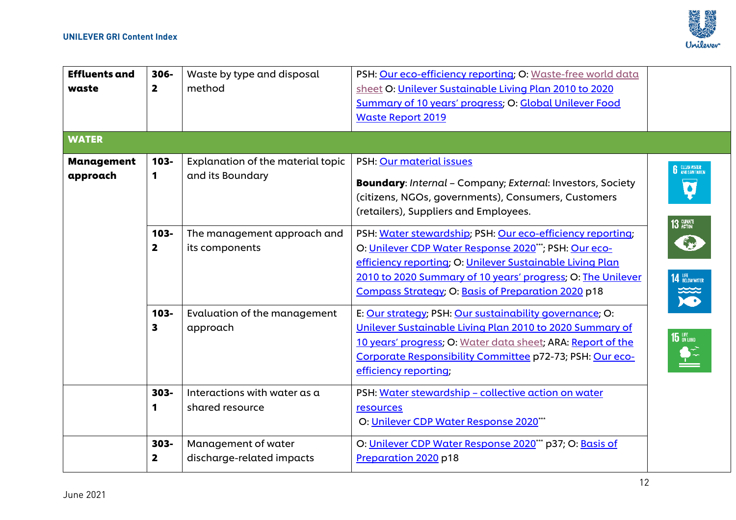

| <b>Effluents and</b><br>waste<br><b>WATER</b> | 306-<br>$\mathbf{2}$                 | Waste by type and disposal<br>method                                                                   | PSH: Our eco-efficiency reporting; O: Waste-free world data<br>sheet O: Unilever Sustainable Living Plan 2010 to 2020<br><b>Summary of 10 years' progress; O: Global Unilever Food</b><br><b>Waste Report 2019</b>                                                                                                                                                                                                                                                                                    |                                                                          |
|-----------------------------------------------|--------------------------------------|--------------------------------------------------------------------------------------------------------|-------------------------------------------------------------------------------------------------------------------------------------------------------------------------------------------------------------------------------------------------------------------------------------------------------------------------------------------------------------------------------------------------------------------------------------------------------------------------------------------------------|--------------------------------------------------------------------------|
| <b>Management</b><br>approach                 | 103-<br>1<br>$103 -$<br>$\mathbf{2}$ | Explanation of the material topic<br>and its Boundary<br>The management approach and<br>its components | PSH: Our material issues<br><b>Boundary:</b> Internal - Company; External: Investors, Society<br>(citizens, NGOs, governments), Consumers, Customers<br>(retailers), Suppliers and Employees.<br>PSH: Water stewardship; PSH: Our eco-efficiency reporting;<br>O: Unilever CDP Water Response 2020"*; PSH: Our eco-<br>efficiency reporting; O: Unilever Sustainable Living Plan<br>2010 to 2020 Summary of 10 years' progress; O: The Unilever<br>Compass Strategy; O: Basis of Preparation 2020 p18 | <b>6</b> CLEAN WATER<br>$\bullet$<br>13 CLIMATE<br><b>14 BELOW WATER</b> |
|                                               | $103 -$<br>3<br>303-<br>1            | Evaluation of the management<br>approach<br>Interactions with water as a<br>shared resource            | E: Our strategy; PSH: Our sustainability governance; O:<br>Unilever Sustainable Living Plan 2010 to 2020 Summary of<br>10 years' progress; O: Water data sheet; ARA: Report of the<br>Corporate Responsibility Committee p72-73; PSH: Our eco-<br>efficiency reporting;<br>PSH: Water stewardship - collective action on water<br>resources                                                                                                                                                           | X<br>15 LIFE                                                             |
|                                               | 303-<br>$\mathbf{2}$                 | Management of water<br>discharge-related impacts                                                       | O: Unilever CDP Water Response 2020"**<br>O: Unilever CDP Water Response 2020*** p37; O: Basis of<br>Preparation 2020 p18                                                                                                                                                                                                                                                                                                                                                                             |                                                                          |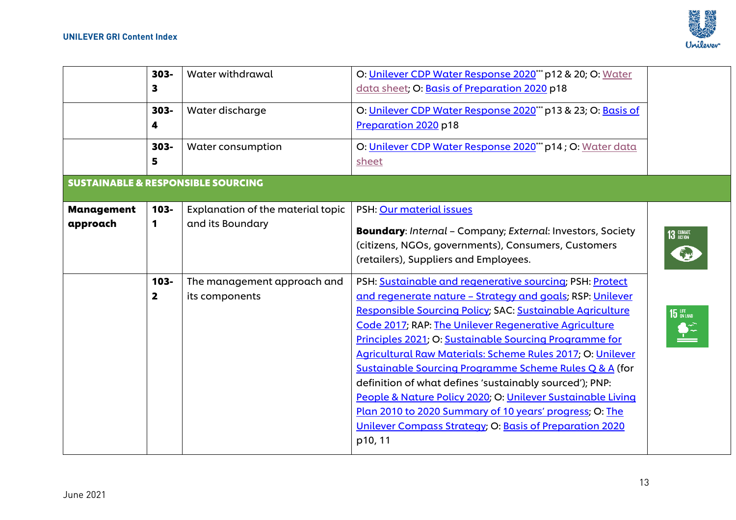

|                               | $303 -$<br>3 | Water withdrawal                                      | O: Unilever CDP Water Response 2020*** p12 & 20; O: Water<br>data sheet; O: Basis of Preparation 2020 p18                                                                                                                                                                                                                                                                                                                                                                                                                                                                                                                                                                                |                   |
|-------------------------------|--------------|-------------------------------------------------------|------------------------------------------------------------------------------------------------------------------------------------------------------------------------------------------------------------------------------------------------------------------------------------------------------------------------------------------------------------------------------------------------------------------------------------------------------------------------------------------------------------------------------------------------------------------------------------------------------------------------------------------------------------------------------------------|-------------------|
|                               | $303 -$<br>4 | Water discharge                                       | O: Unilever CDP Water Response 2020" p13 & 23; O: Basis of<br>Preparation 2020 p18                                                                                                                                                                                                                                                                                                                                                                                                                                                                                                                                                                                                       |                   |
|                               | $303 -$<br>5 | Water consumption                                     | O: Unilever CDP Water Response 2020" p14; O: Water data<br>sheet                                                                                                                                                                                                                                                                                                                                                                                                                                                                                                                                                                                                                         |                   |
|                               |              | <b>SUSTAINABLE &amp; RESPONSIBLE SOURCING</b>         |                                                                                                                                                                                                                                                                                                                                                                                                                                                                                                                                                                                                                                                                                          |                   |
| <b>Management</b><br>approach | $103 -$<br>1 | Explanation of the material topic<br>and its Boundary | PSH: Our material issues<br><b>Boundary:</b> Internal - Company; External: Investors, Society<br>(citizens, NGOs, governments), Consumers, Customers<br>(retailers), Suppliers and Employees.                                                                                                                                                                                                                                                                                                                                                                                                                                                                                            | <b>13 CLIMATE</b> |
|                               | 103-<br>2    | The management approach and<br>its components         | PSH: Sustainable and regenerative sourcing; PSH: Protect<br>and regenerate nature - Strategy and goals; RSP: Unilever<br>Responsible Sourcing Policy; SAC: Sustainable Agriculture<br>Code 2017; RAP: The Unilever Regenerative Agriculture<br>Principles 2021; O: Sustainable Sourcing Programme for<br>Agricultural Raw Materials: Scheme Rules 2017; O: Unilever<br>Sustainable Sourcing Programme Scheme Rules Q & A (for<br>definition of what defines 'sustainably sourced'); PNP:<br>People & Nature Policy 2020; O: Unilever Sustainable Living<br>Plan 2010 to 2020 Summary of 10 years' progress; O: The<br>Unilever Compass Strategy; O: Basis of Preparation 2020<br>p10, 11 | 15                |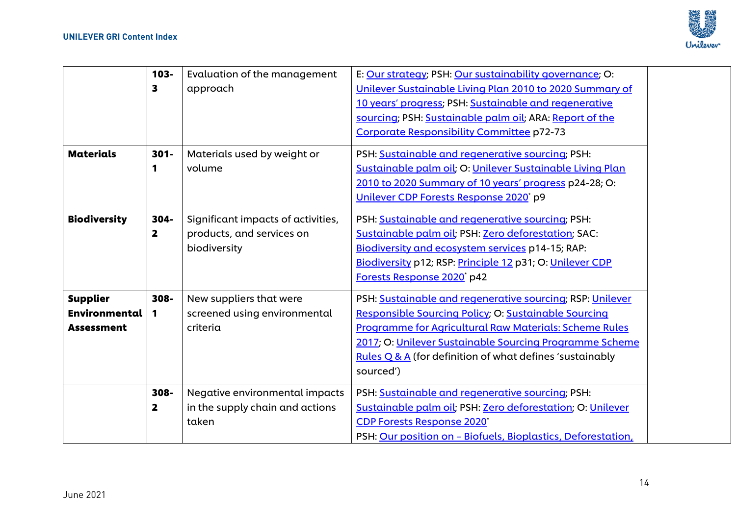

|                      | 103-                    | Evaluation of the management       | E: Our strategy; PSH: Our sustainability governance; O:      |  |
|----------------------|-------------------------|------------------------------------|--------------------------------------------------------------|--|
|                      | 3                       | approach                           | Unilever Sustainable Living Plan 2010 to 2020 Summary of     |  |
|                      |                         |                                    | 10 years' progress; PSH: Sustainable and regenerative        |  |
|                      |                         |                                    | sourcing; PSH: Sustainable palm oil; ARA: Report of the      |  |
|                      |                         |                                    | Corporate Responsibility Committee p72-73                    |  |
| <b>Materials</b>     | $301 -$                 | Materials used by weight or        | PSH: Sustainable and regenerative sourcing; PSH:             |  |
|                      | 1                       | volume                             | Sustainable palm oil; O: Unilever Sustainable Living Plan    |  |
|                      |                         |                                    | 2010 to 2020 Summary of 10 years' progress p24-28; O:        |  |
|                      |                         |                                    | Unilever CDP Forests Response 2020* p9                       |  |
| <b>Biodiversity</b>  | 304-                    | Significant impacts of activities, | PSH: Sustainable and regenerative sourcing; PSH:             |  |
|                      | $\overline{\mathbf{2}}$ | products, and services on          | Sustainable palm oil; PSH: Zero deforestation; SAC:          |  |
|                      |                         | biodiversity                       | Biodiversity and ecosystem services p14-15; RAP:             |  |
|                      |                         |                                    | Biodiversity p12; RSP: Principle 12 p31; O: Unilever CDP     |  |
|                      |                         |                                    | Forests Response 2020* p42                                   |  |
| <b>Supplier</b>      | 308-                    | New suppliers that were            | PSH: Sustainable and regenerative sourcing; RSP: Unilever    |  |
| <b>Environmental</b> | 1                       | screened using environmental       | Responsible Sourcing Policy; O: Sustainable Sourcing         |  |
| <b>Assessment</b>    |                         | criteria                           | Programme for Agricultural Raw Materials: Scheme Rules       |  |
|                      |                         |                                    | 2017; O: Unilever Sustainable Sourcing Programme Scheme      |  |
|                      |                         |                                    | Rules $Q$ & $A$ (for definition of what defines 'sustainably |  |
|                      |                         |                                    | sourced')                                                    |  |
|                      | 308-                    | Negative environmental impacts     | PSH: Sustainable and regenerative sourcing; PSH:             |  |
|                      | $\overline{\mathbf{2}}$ | in the supply chain and actions    | Sustainable palm oil; PSH: Zero deforestation; O: Unilever   |  |
|                      |                         | taken                              | <b>CDP Forests Response 2020*</b>                            |  |
|                      |                         |                                    | PSH: Our position on - Biofuels, Bioplastics, Deforestation, |  |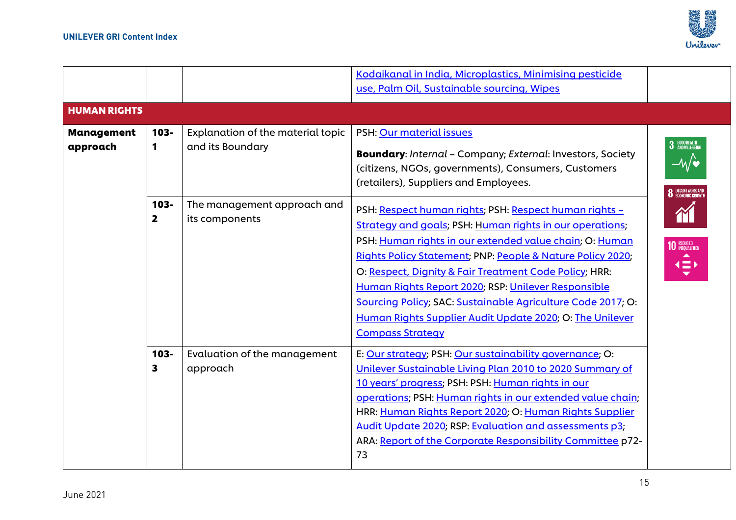

| Kodaikanal in India, Microplastics, Minimising pesticide<br>use, Palm Oil, Sustainable sourcing, Wipes                                                                                                                                                                                                                                                                                                                                                                                                                                                                                                        |
|---------------------------------------------------------------------------------------------------------------------------------------------------------------------------------------------------------------------------------------------------------------------------------------------------------------------------------------------------------------------------------------------------------------------------------------------------------------------------------------------------------------------------------------------------------------------------------------------------------------|
|                                                                                                                                                                                                                                                                                                                                                                                                                                                                                                                                                                                                               |
|                                                                                                                                                                                                                                                                                                                                                                                                                                                                                                                                                                                                               |
| <b>HUMAN RIGHTS</b>                                                                                                                                                                                                                                                                                                                                                                                                                                                                                                                                                                                           |
| PSH: Our material issues<br><b>Management</b><br>$103 -$<br>Explanation of the material topic                                                                                                                                                                                                                                                                                                                                                                                                                                                                                                                 |
| and its Boundary<br>approach<br>1<br><b>Boundary:</b> Internal - Company; External: Investors, Society<br>(citizens, NGOs, governments), Consumers, Customers<br>(retailers), Suppliers and Employees.                                                                                                                                                                                                                                                                                                                                                                                                        |
| 103-<br>The management approach and<br>PSH: Respect human rights; PSH: Respect human rights -<br>its components<br>$\mathbf{2}$<br><b>Strategy and goals; PSH: Human rights in our operations;</b><br>PSH: Human rights in our extended value chain; O: Human<br><b>Rights Policy Statement; PNP: People &amp; Nature Policy 2020;</b><br>O: Respect, Dignity & Fair Treatment Code Policy; HRR:<br>Human Rights Report 2020; RSP: Unilever Responsible<br>Sourcing Policy; SAC: Sustainable Agriculture Code 2017; O:<br>Human Rights Supplier Audit Update 2020; O: The Unilever<br><b>Compass Strategy</b> |
| E: Our strategy; PSH: Our sustainability governance; O:<br>Evaluation of the management<br>$103 -$                                                                                                                                                                                                                                                                                                                                                                                                                                                                                                            |
| Unilever Sustainable Living Plan 2010 to 2020 Summary of<br>approach<br>3<br>10 years' progress; PSH: PSH: Human rights in our<br>operations; PSH: Human rights in our extended value chain;<br>HRR: Human Rights Report 2020; O: Human Rights Supplier<br>Audit Update 2020; RSP: Evaluation and assessments p3;<br>ARA: Report of the Corporate Responsibility Committee p72-<br>73                                                                                                                                                                                                                         |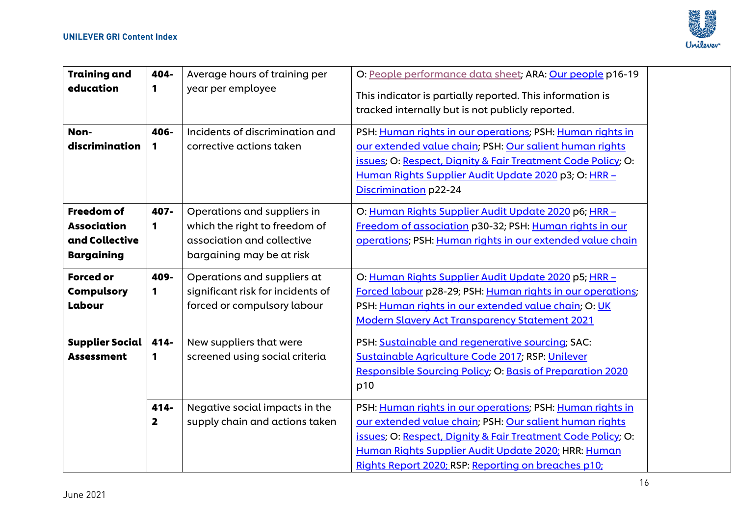

| <b>Training and</b><br>education<br>Non-                                                                                          | 404-<br>1<br>406-                 | Average hours of training per<br>year per employee<br>Incidents of discrimination and                                                                                                                                      | O: People performance data sheet; ARA: Our people p16-19<br>This indicator is partially reported. This information is<br>tracked internally but is not publicly reported.<br>PSH: Human rights in our operations; PSH: Human rights in                                                                                                                                                                                                                                                |  |
|-----------------------------------------------------------------------------------------------------------------------------------|-----------------------------------|----------------------------------------------------------------------------------------------------------------------------------------------------------------------------------------------------------------------------|---------------------------------------------------------------------------------------------------------------------------------------------------------------------------------------------------------------------------------------------------------------------------------------------------------------------------------------------------------------------------------------------------------------------------------------------------------------------------------------|--|
| discrimination                                                                                                                    | 1                                 | corrective actions taken                                                                                                                                                                                                   | our extended value chain; PSH: Our salient human rights<br>issues; O: Respect, Dignity & Fair Treatment Code Policy; O:<br>Human Rights Supplier Audit Update 2020 p3; O: HRR -<br>Discrimination p22-24                                                                                                                                                                                                                                                                              |  |
| <b>Freedom of</b><br><b>Association</b><br>and Collective<br><b>Bargaining</b><br><b>Forced or</b><br><b>Compulsory</b><br>Labour | 407-<br>1<br>409-<br>1            | Operations and suppliers in<br>which the right to freedom of<br>association and collective<br>bargaining may be at risk<br>Operations and suppliers at<br>significant risk for incidents of<br>forced or compulsory labour | O: Human Rights Supplier Audit Update 2020 p6; HRR -<br>Freedom of association p30-32; PSH: Human rights in our<br>operations; PSH: Human rights in our extended value chain<br>O: Human Rights Supplier Audit Update 2020 p5; HRR -<br>Forced labour p28-29; PSH: Human rights in our operations;<br>PSH: Human rights in our extended value chain; O: UK<br><b>Modern Slavery Act Transparency Statement 2021</b>                                                                   |  |
| <b>Supplier Social</b><br><b>Assessment</b>                                                                                       | 414-<br>1<br>414-<br>$\mathbf{2}$ | New suppliers that were<br>screened using social criteria<br>Negative social impacts in the<br>supply chain and actions taken                                                                                              | PSH: Sustainable and regenerative sourcing; SAC:<br>Sustainable Agriculture Code 2017; RSP: Unilever<br><b>Responsible Sourcing Policy; O: Basis of Preparation 2020</b><br>p10<br>PSH: Human rights in our operations; PSH: Human rights in<br>our extended value chain; PSH: Our salient human rights<br>issues; O: Respect, Dignity & Fair Treatment Code Policy; O:<br>Human Rights Supplier Audit Update 2020; HRR: Human<br>Rights Report 2020; RSP: Reporting on breaches p10; |  |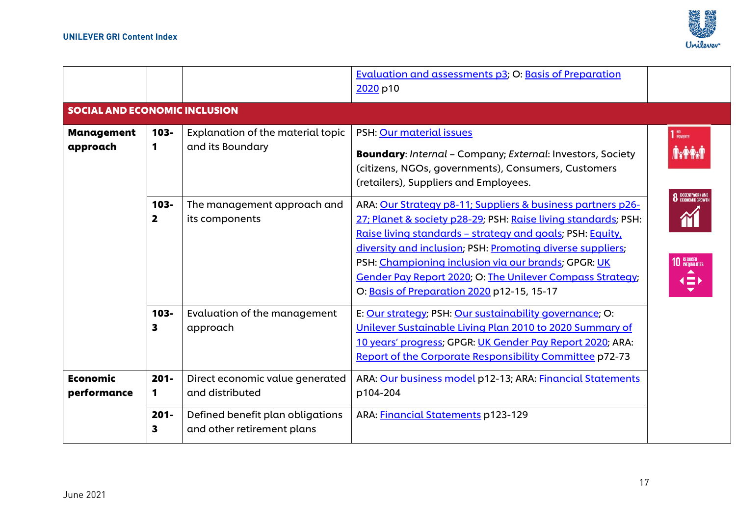

|                                      |                                   |                                                                                                        | <b>Evaluation and assessments p3; O: Basis of Preparation</b><br>2020 p10                                                                                                                                                                                                                                                                                                                                                                                                                                                                                                     |                                                                                                                         |
|--------------------------------------|-----------------------------------|--------------------------------------------------------------------------------------------------------|-------------------------------------------------------------------------------------------------------------------------------------------------------------------------------------------------------------------------------------------------------------------------------------------------------------------------------------------------------------------------------------------------------------------------------------------------------------------------------------------------------------------------------------------------------------------------------|-------------------------------------------------------------------------------------------------------------------------|
| <b>SOCIAL AND ECONOMIC INCLUSION</b> |                                   |                                                                                                        |                                                                                                                                                                                                                                                                                                                                                                                                                                                                                                                                                                               |                                                                                                                         |
| <b>Management</b><br>approach        | 103-<br>1<br>103-<br>$\mathbf{2}$ | Explanation of the material topic<br>and its Boundary<br>The management approach and<br>its components | PSH: Our material issues<br><b>Boundary:</b> Internal - Company; External: Investors, Society<br>(citizens, NGOs, governments), Consumers, Customers<br>(retailers), Suppliers and Employees.<br>ARA: Our Strategy p8-11; Suppliers & business partners p26-<br>27; Planet & society p28-29; PSH: Raise living standards; PSH:<br>Raise living standards - strategy and goals; PSH: Equity,<br>diversity and inclusion; PSH: Promoting diverse suppliers;<br>PSH: Championing inclusion via our brands; GPGR: UK<br>Gender Pay Report 2020; O: The Unilever Compass Strategy; | 1 <sup>NO</sup> POVERTY<br><b>8</b> DECENT WORK AND<br><b>10 REDUCED</b><br>$\blacktriangle$<br>$\left( \equiv \right)$ |
| <b>Economic</b><br>performance       | 103-<br>3<br>$201 -$<br>1         | Evaluation of the management<br>approach<br>Direct economic value generated<br>and distributed         | O: Basis of Preparation 2020 p12-15, 15-17<br>E: Our strategy; PSH: Our sustainability governance; O:<br>Unilever Sustainable Living Plan 2010 to 2020 Summary of<br>10 years' progress; GPGR: UK Gender Pay Report 2020; ARA:<br>Report of the Corporate Responsibility Committee p72-73<br>ARA: Our business model p12-13; ARA: Financial Statements<br>p104-204                                                                                                                                                                                                            |                                                                                                                         |
|                                      | $201 -$<br>3                      | Defined benefit plan obligations<br>and other retirement plans                                         | ARA: Financial Statements p123-129                                                                                                                                                                                                                                                                                                                                                                                                                                                                                                                                            |                                                                                                                         |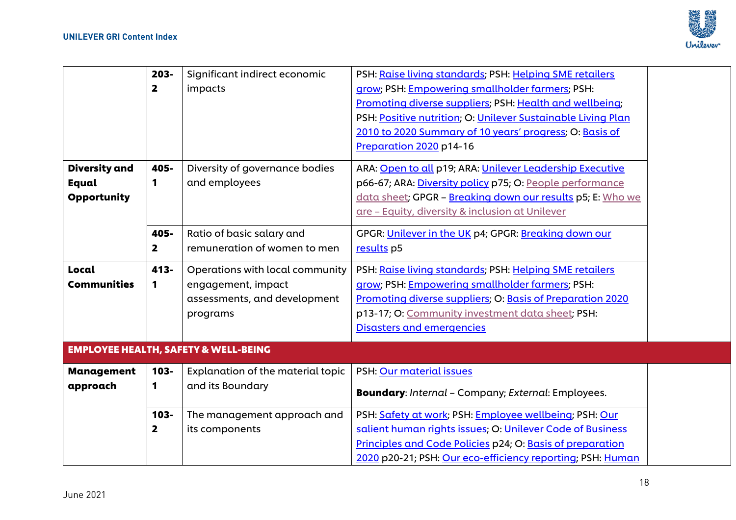

|                               | $203 -$<br>$\overline{\mathbf{2}}$ | Significant indirect economic<br>impacts                                                          | PSH: Raise living standards; PSH: Helping SME retailers<br>grow; PSH: Empowering smallholder farmers; PSH:<br>Promoting diverse suppliers; PSH: Health and wellbeing;<br>PSH: Positive nutrition; O: Unilever Sustainable Living Plan<br>2010 to 2020 Summary of 10 years' progress; O: Basis of<br>Preparation 2020 p14-16 |  |
|-------------------------------|------------------------------------|---------------------------------------------------------------------------------------------------|-----------------------------------------------------------------------------------------------------------------------------------------------------------------------------------------------------------------------------------------------------------------------------------------------------------------------------|--|
| <b>Diversity and</b>          | 405-                               | Diversity of governance bodies                                                                    | ARA: Open to all p19; ARA: Unilever Leadership Executive                                                                                                                                                                                                                                                                    |  |
| Equal<br><b>Opportunity</b>   | 1                                  | and employees                                                                                     | p66-67; ARA: Diversity policy p75; O: People performance<br>data sheet; GPGR - Breaking down our results p5; E: Who we<br>are - Equity, diversity & inclusion at Unilever                                                                                                                                                   |  |
|                               | 405-<br>$\mathbf{2}$               | Ratio of basic salary and<br>remuneration of women to men                                         | GPGR: Unilever in the UK p4; GPGR: Breaking down our<br>results p5                                                                                                                                                                                                                                                          |  |
| Local<br><b>Communities</b>   | 413-<br>1                          | Operations with local community<br>engagement, impact<br>assessments, and development<br>programs | PSH: Raise living standards; PSH: Helping SME retailers<br>grow; PSH: Empowering smallholder farmers; PSH:<br>Promoting diverse suppliers; O: Basis of Preparation 2020<br>p13-17; O: Community investment data sheet; PSH:<br><b>Disasters and emergencies</b>                                                             |  |
|                               |                                    | <b>EMPLOYEE HEALTH, SAFETY &amp; WELL-BEING</b>                                                   |                                                                                                                                                                                                                                                                                                                             |  |
| <b>Management</b><br>approach | 103-<br>1                          | Explanation of the material topic<br>and its Boundary                                             | PSH: Our material issues<br><b>Boundary:</b> Internal - Company; External: Employees.                                                                                                                                                                                                                                       |  |
|                               | 103-<br>$\overline{\mathbf{2}}$    | The management approach and<br>its components                                                     | PSH: Safety at work; PSH: Employee wellbeing; PSH: Our<br>salient human rights issues; O: Unilever Code of Business<br>Principles and Code Policies p24; O: Basis of preparation<br>2020 p20-21; PSH: Our eco-efficiency reporting; PSH: Human                                                                              |  |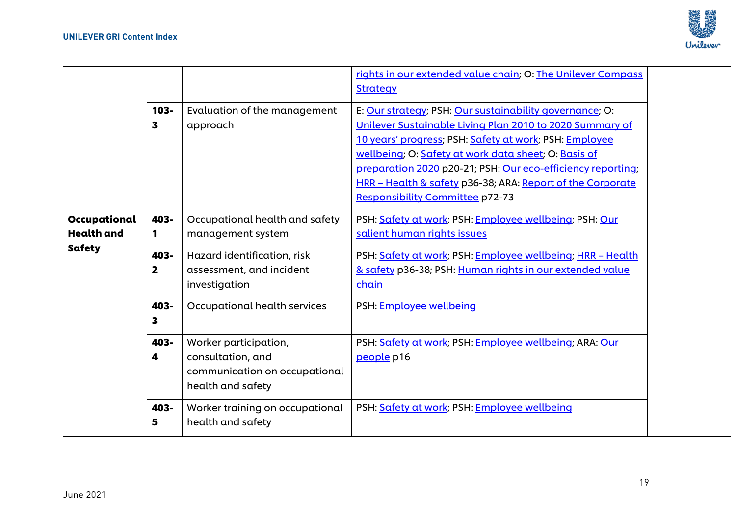

|                   |                         |                                 | rights in our extended value chain; O: The Unilever Compass |  |
|-------------------|-------------------------|---------------------------------|-------------------------------------------------------------|--|
|                   |                         |                                 | <b>Strategy</b>                                             |  |
|                   | 103-                    | Evaluation of the management    | E: Our strategy; PSH: Our sustainability governance; O:     |  |
|                   | 3                       | approach                        | Unilever Sustainable Living Plan 2010 to 2020 Summary of    |  |
|                   |                         |                                 | 10 years' progress; PSH: Safety at work; PSH: Employee      |  |
|                   |                         |                                 | wellbeing; O: Safety at work data sheet; O: Basis of        |  |
|                   |                         |                                 | preparation 2020 p20-21; PSH: Our eco-efficiency reporting; |  |
|                   |                         |                                 | HRR - Health & safety p36-38; ARA: Report of the Corporate  |  |
|                   |                         |                                 | <b>Responsibility Committee p72-73</b>                      |  |
| Occupational      | 403-                    | Occupational health and safety  | PSH: Safety at work; PSH: Employee wellbeing; PSH: Our      |  |
| <b>Health and</b> | 1                       | management system               | salient human rights issues                                 |  |
| Safety            | 403-                    | Hazard identification, risk     | PSH: Safety at work; PSH: Employee wellbeing; HRR - Health  |  |
|                   | $\overline{\mathbf{2}}$ | assessment, and incident        | & safety p36-38; PSH: Human rights in our extended value    |  |
|                   |                         | investigation                   | chain                                                       |  |
|                   | 403-                    | Occupational health services    | PSH: Employee wellbeing                                     |  |
|                   | 3                       |                                 |                                                             |  |
|                   | 403-                    | Worker participation,           | PSH: Safety at work; PSH: Employee wellbeing; ARA: Our      |  |
|                   | 4                       | consultation, and               | people p16                                                  |  |
|                   |                         | communication on occupational   |                                                             |  |
|                   |                         | health and safety               |                                                             |  |
|                   | 403-                    | Worker training on occupational | PSH: Safety at work; PSH: Employee wellbeing                |  |
|                   | 5                       | health and safety               |                                                             |  |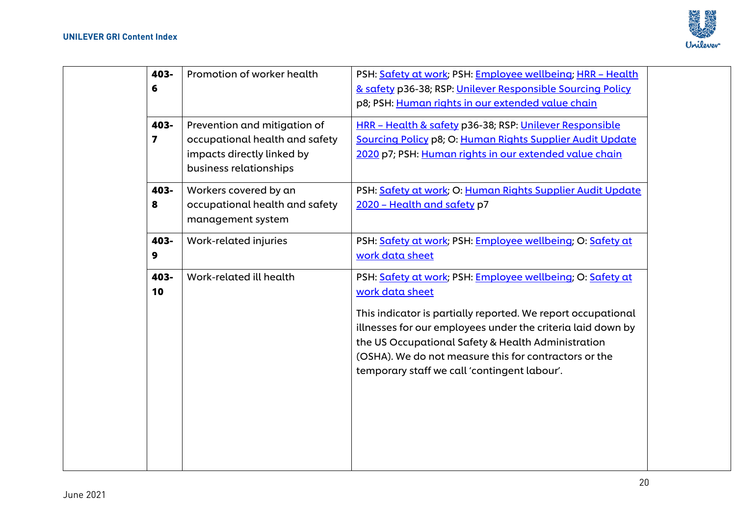

| 403-<br>6<br>403-<br>7 | Promotion of worker health<br>Prevention and mitigation of<br>occupational health and safety<br>impacts directly linked by<br>business relationships | PSH: Safety at work; PSH: Employee wellbeing; HRR - Health<br>& safety p36-38; RSP: Unilever Responsible Sourcing Policy<br>p8; PSH: Human rights in our extended value chain<br>HRR - Health & safety p36-38; RSP: Unilever Responsible<br>Sourcing Policy p8; O: Human Rights Supplier Audit Update<br>2020 p7; PSH: Human rights in our extended value chain             |
|------------------------|------------------------------------------------------------------------------------------------------------------------------------------------------|-----------------------------------------------------------------------------------------------------------------------------------------------------------------------------------------------------------------------------------------------------------------------------------------------------------------------------------------------------------------------------|
| 403-<br>8              | Workers covered by an<br>occupational health and safety<br>management system                                                                         | PSH: Safety at work; O: Human Rights Supplier Audit Update<br>2020 - Health and safety p7                                                                                                                                                                                                                                                                                   |
| 403-<br>9              | Work-related injuries                                                                                                                                | PSH: Safety at work; PSH: Employee wellbeing; O: Safety at<br>work data sheet                                                                                                                                                                                                                                                                                               |
| 403-<br>10             | Work-related ill health                                                                                                                              | PSH: Safety at work; PSH: Employee wellbeing; O: Safety at<br>work data sheet<br>This indicator is partially reported. We report occupational<br>illnesses for our employees under the criteria laid down by<br>the US Occupational Safety & Health Administration<br>(OSHA). We do not measure this for contractors or the<br>temporary staff we call 'contingent labour'. |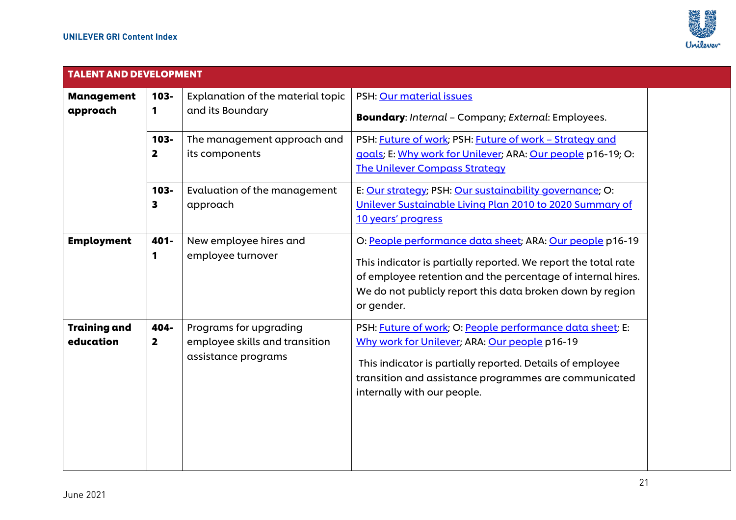

| <b>TALENT AND DEVELOPMENT</b>    |                                 |                                                                                 |                                                                                                                                                                                                                                                                      |  |
|----------------------------------|---------------------------------|---------------------------------------------------------------------------------|----------------------------------------------------------------------------------------------------------------------------------------------------------------------------------------------------------------------------------------------------------------------|--|
| <b>Management</b><br>approach    | $103 -$<br>$\mathbf 1$          | Explanation of the material topic<br>and its Boundary                           | PSH: Our material issues<br><b>Boundary:</b> Internal - Company; External: Employees.                                                                                                                                                                                |  |
|                                  | 103-<br>$\overline{\mathbf{2}}$ | The management approach and<br>its components                                   | PSH: Future of work; PSH: Future of work - Strategy and<br>goals; E: Why work for Unilever; ARA: Our people p16-19; O:<br><b>The Unilever Compass Strategy</b>                                                                                                       |  |
|                                  | $103 -$<br>3                    | Evaluation of the management<br>approach                                        | E: Our strategy; PSH: Our sustainability governance; O:<br>Unilever Sustainable Living Plan 2010 to 2020 Summary of<br>10 years' progress                                                                                                                            |  |
| <b>Employment</b>                | 401-<br>1                       | New employee hires and<br>employee turnover                                     | O: People performance data sheet; ARA: Our people p16-19<br>This indicator is partially reported. We report the total rate<br>of employee retention and the percentage of internal hires.<br>We do not publicly report this data broken down by region<br>or gender. |  |
| <b>Training and</b><br>education | 404-<br>$\overline{\mathbf{2}}$ | Programs for upgrading<br>employee skills and transition<br>assistance programs | PSH: Future of work; O: People performance data sheet; E:<br>Why work for Unilever; ARA: Our people p16-19<br>This indicator is partially reported. Details of employee<br>transition and assistance programmes are communicated<br>internally with our people.      |  |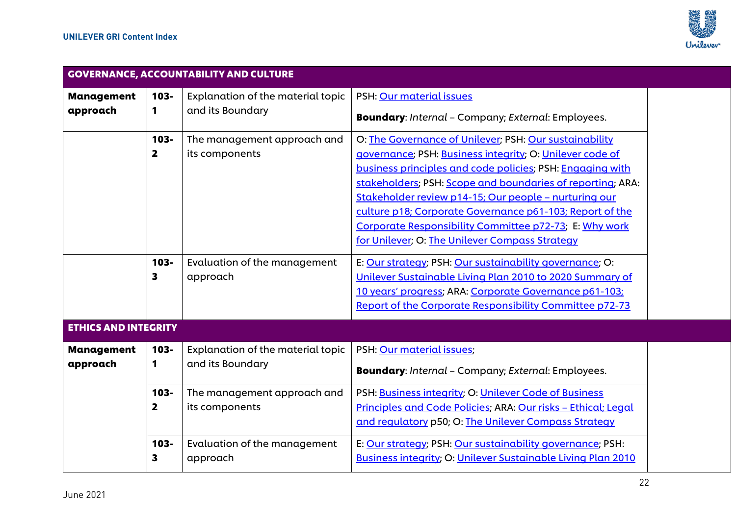

| <b>GOVERNANCE, ACCOUNTABILITY AND CULTURE</b> |                                    |                                                       |                                                                                                                                                                                                                                                                                                                                                                                                                                                                                |  |  |
|-----------------------------------------------|------------------------------------|-------------------------------------------------------|--------------------------------------------------------------------------------------------------------------------------------------------------------------------------------------------------------------------------------------------------------------------------------------------------------------------------------------------------------------------------------------------------------------------------------------------------------------------------------|--|--|
| <b>Management</b>                             | 103-                               | Explanation of the material topic                     | PSH: Our material issues                                                                                                                                                                                                                                                                                                                                                                                                                                                       |  |  |
| approach                                      | 1                                  | and its Boundary                                      | <b>Boundary:</b> Internal - Company; External: Employees.                                                                                                                                                                                                                                                                                                                                                                                                                      |  |  |
|                                               | $103 -$<br>$\overline{\mathbf{2}}$ | The management approach and<br>its components         | O: The Governance of Unilever; PSH: Our sustainability<br>governance; PSH: Business integrity; O: Unilever code of<br>business principles and code policies; PSH: Engaging with<br>stakeholders; PSH: Scope and boundaries of reporting; ARA:<br>Stakeholder review p14-15; Our people - nurturing our<br>culture p18; Corporate Governance p61-103; Report of the<br>Corporate Responsibility Committee p72-73; E: Why work<br>for Unilever; O: The Unilever Compass Strategy |  |  |
| <b>ETHICS AND INTEGRITY</b>                   | 103-<br>3                          | Evaluation of the management<br>approach              | E: Our strategy; PSH: Our sustainability governance; O:<br>Unilever Sustainable Living Plan 2010 to 2020 Summary of<br>10 years' progress; ARA: Corporate Governance p61-103;<br><b>Report of the Corporate Responsibility Committee p72-73</b>                                                                                                                                                                                                                                |  |  |
|                                               |                                    |                                                       |                                                                                                                                                                                                                                                                                                                                                                                                                                                                                |  |  |
| <b>Management</b><br>approach                 | $103 -$<br>1                       | Explanation of the material topic<br>and its Boundary | PSH: Our material issues;<br><b>Boundary:</b> Internal - Company; External: Employees.                                                                                                                                                                                                                                                                                                                                                                                         |  |  |
|                                               | $103 -$<br>$\overline{\mathbf{2}}$ | The management approach and<br>its components         | PSH: Business integrity; O: Unilever Code of Business<br>Principles and Code Policies; ARA: Our risks - Ethical; Legal<br>and regulatory p50; O: The Unilever Compass Strategy                                                                                                                                                                                                                                                                                                 |  |  |
|                                               | $103 -$<br>3                       | Evaluation of the management<br>approach              | E: Our strategy; PSH: Our sustainability governance; PSH:<br><b>Business integrity; O: Unilever Sustainable Living Plan 2010</b>                                                                                                                                                                                                                                                                                                                                               |  |  |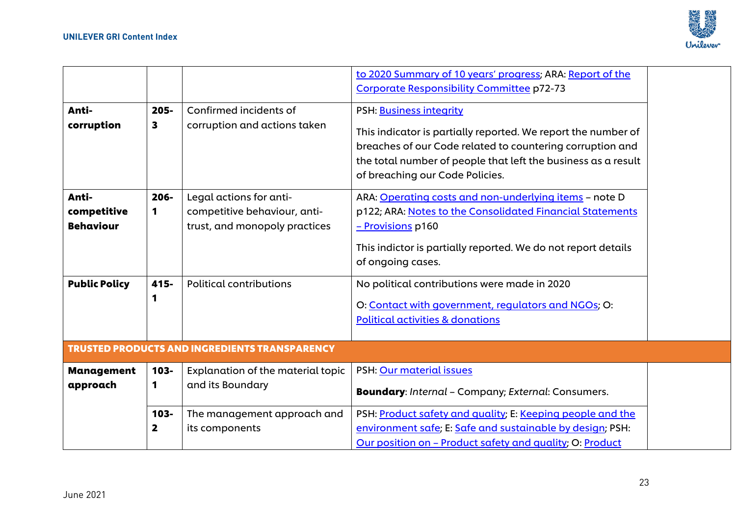

|                      |                         |                                                      | to 2020 Summary of 10 years' progress; ARA: Report of the                                                                                                                                                                      |  |
|----------------------|-------------------------|------------------------------------------------------|--------------------------------------------------------------------------------------------------------------------------------------------------------------------------------------------------------------------------------|--|
|                      |                         |                                                      | Corporate Responsibility Committee p72-73                                                                                                                                                                                      |  |
| Anti-                | $205 -$                 | Confirmed incidents of                               | PSH: Business integrity                                                                                                                                                                                                        |  |
| corruption           | 3                       | corruption and actions taken                         | This indicator is partially reported. We report the number of<br>breaches of our Code related to countering corruption and<br>the total number of people that left the business as a result<br>of breaching our Code Policies. |  |
| Anti-                | $206 -$                 | Legal actions for anti-                              | ARA: Operating costs and non-underlying items - note D                                                                                                                                                                         |  |
| competitive          | 1                       | competitive behaviour, anti-                         | p122; ARA: Notes to the Consolidated Financial Statements                                                                                                                                                                      |  |
| <b>Behaviour</b>     |                         | trust, and monopoly practices                        | - Provisions p160                                                                                                                                                                                                              |  |
|                      |                         |                                                      | This indictor is partially reported. We do not report details<br>of ongoing cases.                                                                                                                                             |  |
| <b>Public Policy</b> | 415-                    | <b>Political contributions</b>                       | No political contributions were made in 2020                                                                                                                                                                                   |  |
|                      | 1                       |                                                      | O: Contact with government, regulators and NGOs; O:<br><b>Political activities &amp; donations</b>                                                                                                                             |  |
|                      |                         | <b>TRUSTED PRODUCTS AND INGREDIENTS TRANSPARENCY</b> |                                                                                                                                                                                                                                |  |
| <b>Management</b>    | $103 -$                 | Explanation of the material topic                    | PSH: Our material issues                                                                                                                                                                                                       |  |
| approach             | 1                       | and its Boundary                                     | <b>Boundary:</b> Internal - Company; External: Consumers.                                                                                                                                                                      |  |
|                      | 103-                    | The management approach and                          | PSH: Product safety and quality; E: Keeping people and the                                                                                                                                                                     |  |
|                      | $\overline{\mathbf{2}}$ | its components                                       | environment safe; E: Safe and sustainable by design; PSH:                                                                                                                                                                      |  |
|                      |                         |                                                      | Our position on - Product safety and quality; O: Product                                                                                                                                                                       |  |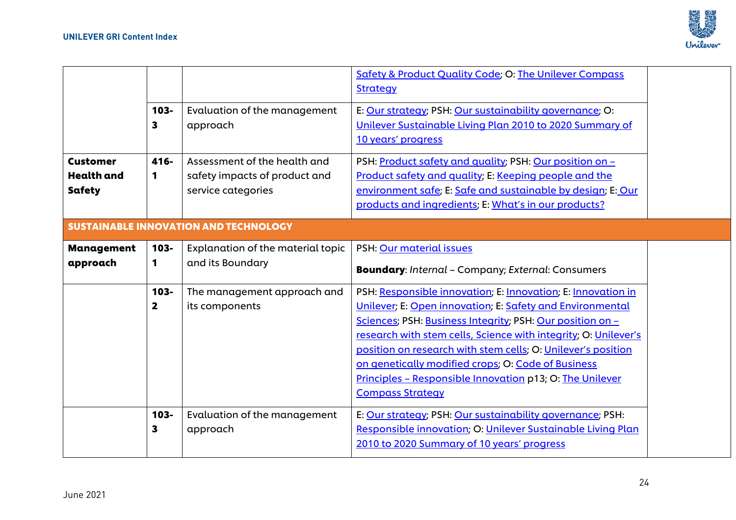

|                               |                         |                                                                          | <b>Safety &amp; Product Quality Code; O: The Unilever Compass</b><br><b>Strategy</b>                                                                                                                                                                                                                                                                                                                                                                                   |  |
|-------------------------------|-------------------------|--------------------------------------------------------------------------|------------------------------------------------------------------------------------------------------------------------------------------------------------------------------------------------------------------------------------------------------------------------------------------------------------------------------------------------------------------------------------------------------------------------------------------------------------------------|--|
| <b>Customer</b>               | $103 -$<br>3<br>416-    | Evaluation of the management<br>approach<br>Assessment of the health and | E: Our strategy; PSH: Our sustainability governance; O:<br>Unilever Sustainable Living Plan 2010 to 2020 Summary of<br>10 years' progress<br>PSH: Product safety and quality; PSH: Our position on -                                                                                                                                                                                                                                                                   |  |
| <b>Health</b> and<br>Safety   | 1                       | safety impacts of product and<br>service categories                      | Product safety and quality; E: Keeping people and the<br>environment safe; E: Safe and sustainable by design; E: Our<br>products and ingredients; E: What's in our products?                                                                                                                                                                                                                                                                                           |  |
|                               |                         | <b>SUSTAINABLE INNOVATION AND TECHNOLOGY</b>                             |                                                                                                                                                                                                                                                                                                                                                                                                                                                                        |  |
| <b>Management</b><br>approach | $103 -$<br>1            | Explanation of the material topic<br>and its Boundary                    | PSH: Our material issues<br><b>Boundary:</b> Internal - Company; External: Consumers                                                                                                                                                                                                                                                                                                                                                                                   |  |
|                               | $103 -$<br>$\mathbf{2}$ | The management approach and<br>its components                            | PSH: Responsible innovation; E: Innovation; E: Innovation in<br>Unilever; E: Open innovation; E: Safety and Environmental<br>Sciences; PSH: Business Integrity; PSH: Our position on -<br>research with stem cells, Science with integrity; O: Unilever's<br>position on research with stem cells; O: Unilever's position<br>on genetically modified crops; O: Code of Business<br>Principles - Responsible Innovation p13; O: The Unilever<br><b>Compass Strategy</b> |  |
|                               | $103 -$<br>3            | Evaluation of the management<br>approach                                 | E: Our strategy; PSH: Our sustainability governance; PSH:<br>Responsible innovation; O: Unilever Sustainable Living Plan<br>2010 to 2020 Summary of 10 years' progress                                                                                                                                                                                                                                                                                                 |  |